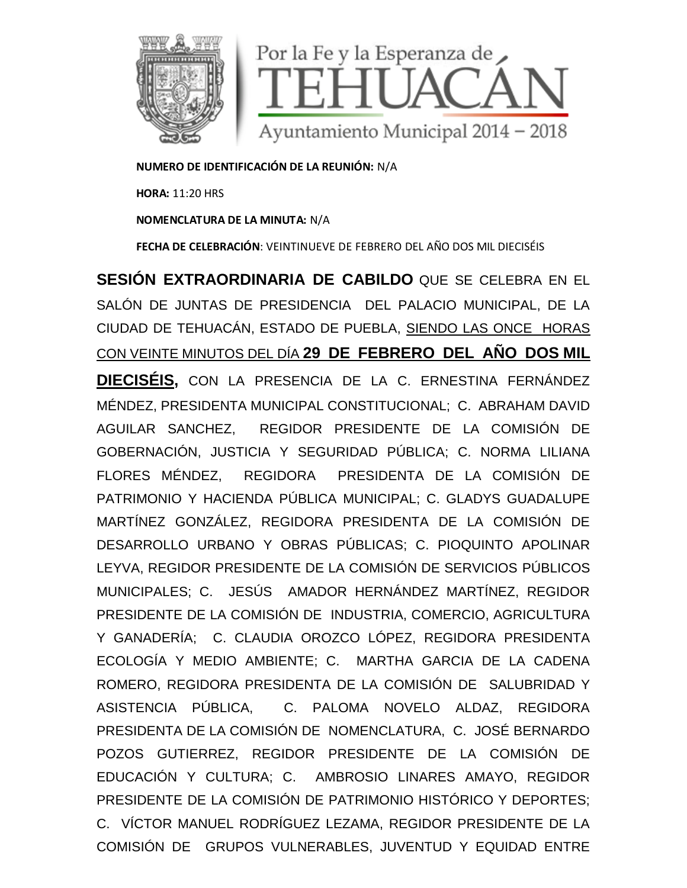

**NUMERO DE IDENTIFICACIÓN DE LA REUNIÓN:** N/A

**HORA:** 11:20 HRS

**NOMENCLATURA DE LA MINUTA:** N/A

**FECHA DE CELEBRACIÓN**: VEINTINUEVE DE FEBRERO DEL AÑO DOS MIL DIECISÉIS

**SESIÓN EXTRAORDINARIA DE CABILDO** QUE SE CELEBRA EN EL SALÓN DE JUNTAS DE PRESIDENCIA DEL PALACIO MUNICIPAL, DE LA CIUDAD DE TEHUACÁN, ESTADO DE PUEBLA, SIENDO LAS ONCE HORAS CON VEINTE MINUTOS DEL DÍA **29 DE FEBRERO DEL AÑO DOS MIL DIECISÉIS,** CON LA PRESENCIA DE LA C. ERNESTINA FERNÁNDEZ MÉNDEZ, PRESIDENTA MUNICIPAL CONSTITUCIONAL; C. ABRAHAM DAVID AGUILAR SANCHEZ, REGIDOR PRESIDENTE DE LA COMISIÓN DE GOBERNACIÓN, JUSTICIA Y SEGURIDAD PÚBLICA; C. NORMA LILIANA FLORES MÉNDEZ, REGIDORA PRESIDENTA DE LA COMISIÓN DE PATRIMONIO Y HACIENDA PÚBLICA MUNICIPAL; C. GLADYS GUADALUPE MARTÍNEZ GONZÁLEZ, REGIDORA PRESIDENTA DE LA COMISIÓN DE DESARROLLO URBANO Y OBRAS PÚBLICAS; C. PIOQUINTO APOLINAR LEYVA, REGIDOR PRESIDENTE DE LA COMISIÓN DE SERVICIOS PÚBLICOS MUNICIPALES; C. JESÚS AMADOR HERNÁNDEZ MARTÍNEZ, REGIDOR PRESIDENTE DE LA COMISIÓN DE INDUSTRIA, COMERCIO, AGRICULTURA Y GANADERÍA; C. CLAUDIA OROZCO LÓPEZ, REGIDORA PRESIDENTA ECOLOGÍA Y MEDIO AMBIENTE; C. MARTHA GARCIA DE LA CADENA ROMERO, REGIDORA PRESIDENTA DE LA COMISIÓN DE SALUBRIDAD Y ASISTENCIA PÚBLICA, C. PALOMA NOVELO ALDAZ, REGIDORA PRESIDENTA DE LA COMISIÓN DE NOMENCLATURA, C. JOSÉ BERNARDO POZOS GUTIERREZ, REGIDOR PRESIDENTE DE LA COMISIÓN DE EDUCACIÓN Y CULTURA; C. AMBROSIO LINARES AMAYO, REGIDOR PRESIDENTE DE LA COMISIÓN DE PATRIMONIO HISTÓRICO Y DEPORTES; C. VÍCTOR MANUEL RODRÍGUEZ LEZAMA, REGIDOR PRESIDENTE DE LA COMISIÓN DE GRUPOS VULNERABLES, JUVENTUD Y EQUIDAD ENTRE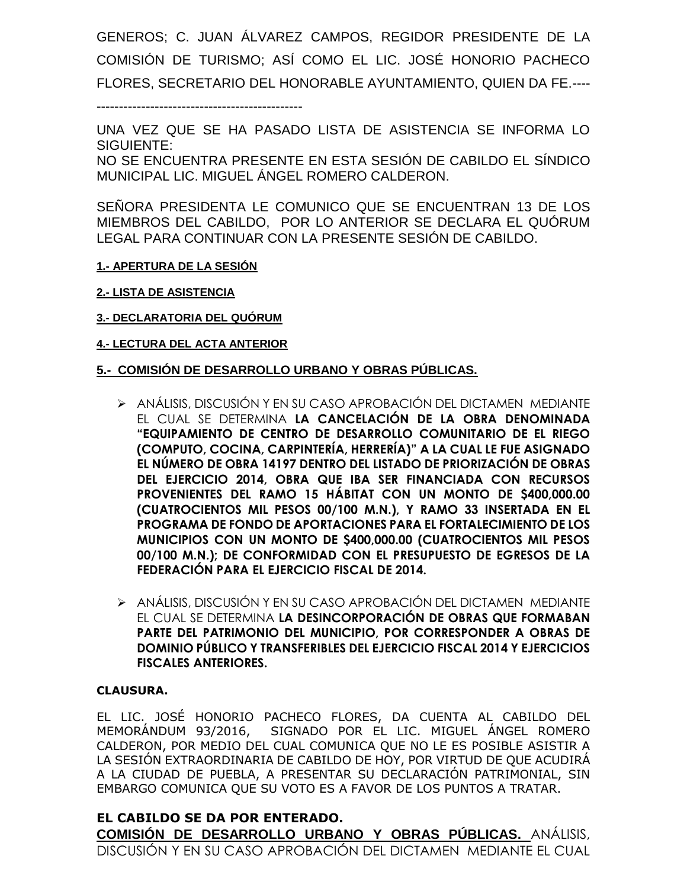GENEROS; C. JUAN ÁLVAREZ CAMPOS, REGIDOR PRESIDENTE DE LA COMISIÓN DE TURISMO; ASÍ COMO EL LIC. JOSÉ HONORIO PACHECO FLORES, SECRETARIO DEL HONORABLE AYUNTAMIENTO, QUIEN DA FE.----

----------------------------------------------

UNA VEZ QUE SE HA PASADO LISTA DE ASISTENCIA SE INFORMA LO SIGUIENTE: NO SE ENCUENTRA PRESENTE EN ESTA SESIÓN DE CABILDO EL SÍNDICO MUNICIPAL LIC. MIGUEL ÁNGEL ROMERO CALDERON.

SEÑORA PRESIDENTA LE COMUNICO QUE SE ENCUENTRAN 13 DE LOS MIEMBROS DEL CABILDO, POR LO ANTERIOR SE DECLARA EL QUÓRUM LEGAL PARA CONTINUAR CON LA PRESENTE SESIÓN DE CABILDO.

- **1.- APERTURA DE LA SESIÓN**
- **2.- LISTA DE ASISTENCIA**
- **3.- DECLARATORIA DEL QUÓRUM**

### **4.- LECTURA DEL ACTA ANTERIOR**

### **5.- COMISIÓN DE DESARROLLO URBANO Y OBRAS PÚBLICAS.**

- ANÁLISIS, DISCUSIÓN Y EN SU CASO APROBACIÓN DEL DICTAMEN MEDIANTE EL CUAL SE DETERMINA **LA CANCELACIÓN DE LA OBRA DENOMINADA "EQUIPAMIENTO DE CENTRO DE DESARROLLO COMUNITARIO DE EL RIEGO (COMPUTO, COCINA, CARPINTERÍA, HERRERÍA)" A LA CUAL LE FUE ASIGNADO EL NÚMERO DE OBRA 14197 DENTRO DEL LISTADO DE PRIORIZACIÓN DE OBRAS DEL EJERCICIO 2014, OBRA QUE IBA SER FINANCIADA CON RECURSOS PROVENIENTES DEL RAMO 15 HÁBITAT CON UN MONTO DE \$400,000.00 (CUATROCIENTOS MIL PESOS 00/100 M.N.), Y RAMO 33 INSERTADA EN EL PROGRAMA DE FONDO DE APORTACIONES PARA EL FORTALECIMIENTO DE LOS MUNICIPIOS CON UN MONTO DE \$400,000.00 (CUATROCIENTOS MIL PESOS 00/100 M.N.); DE CONFORMIDAD CON EL PRESUPUESTO DE EGRESOS DE LA FEDERACIÓN PARA EL EJERCICIO FISCAL DE 2014.**
- ANÁLISIS, DISCUSIÓN Y EN SU CASO APROBACIÓN DEL DICTAMEN MEDIANTE EL CUAL SE DETERMINA **LA DESINCORPORACIÓN DE OBRAS QUE FORMABAN PARTE DEL PATRIMONIO DEL MUNICIPIO, POR CORRESPONDER A OBRAS DE DOMINIO PÚBLICO Y TRANSFERIBLES DEL EJERCICIO FISCAL 2014 Y EJERCICIOS FISCALES ANTERIORES.**

### **CLAUSURA.**

EL LIC. JOSÉ HONORIO PACHECO FLORES, DA CUENTA AL CABILDO DEL MEMORÁNDUM 93/2016, SIGNADO POR EL LIC. MIGUEL ÁNGEL ROMERO CALDERON, POR MEDIO DEL CUAL COMUNICA QUE NO LE ES POSIBLE ASISTIR A LA SESIÓN EXTRAORDINARIA DE CABILDO DE HOY, POR VIRTUD DE QUE ACUDIRÁ A LA CIUDAD DE PUEBLA, A PRESENTAR SU DECLARACIÓN PATRIMONIAL, SIN EMBARGO COMUNICA QUE SU VOTO ES A FAVOR DE LOS PUNTOS A TRATAR.

## **EL CABILDO SE DA POR ENTERADO. COMISIÓN DE DESARROLLO URBANO Y OBRAS PÚBLICAS.** ANÁLISIS, DISCUSIÓN Y EN SU CASO APROBACIÓN DEL DICTAMEN MEDIANTE EL CUAL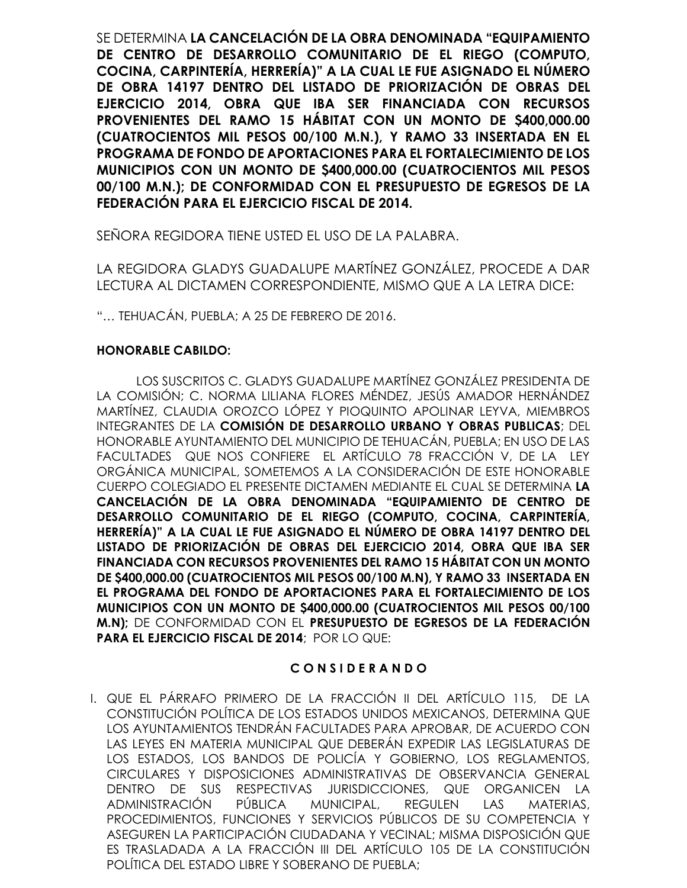SE DETERMINA **LA CANCELACIÓN DE LA OBRA DENOMINADA "EQUIPAMIENTO DE CENTRO DE DESARROLLO COMUNITARIO DE EL RIEGO (COMPUTO, COCINA, CARPINTERÍA, HERRERÍA)" A LA CUAL LE FUE ASIGNADO EL NÚMERO DE OBRA 14197 DENTRO DEL LISTADO DE PRIORIZACIÓN DE OBRAS DEL EJERCICIO 2014, OBRA QUE IBA SER FINANCIADA CON RECURSOS PROVENIENTES DEL RAMO 15 HÁBITAT CON UN MONTO DE \$400,000.00 (CUATROCIENTOS MIL PESOS 00/100 M.N.), Y RAMO 33 INSERTADA EN EL PROGRAMA DE FONDO DE APORTACIONES PARA EL FORTALECIMIENTO DE LOS MUNICIPIOS CON UN MONTO DE \$400,000.00 (CUATROCIENTOS MIL PESOS 00/100 M.N.); DE CONFORMIDAD CON EL PRESUPUESTO DE EGRESOS DE LA FEDERACIÓN PARA EL EJERCICIO FISCAL DE 2014.**

SEÑORA REGIDORA TIENE USTED EL USO DE LA PALABRA.

LA REGIDORA GLADYS GUADALUPE MARTÍNEZ GONZÁLEZ, PROCEDE A DAR LECTURA AL DICTAMEN CORRESPONDIENTE, MISMO QUE A LA LETRA DICE:

"… TEHUACÁN, PUEBLA; A 25 DE FEBRERO DE 2016.

### **HONORABLE CABILDO:**

LOS SUSCRITOS C. GLADYS GUADALUPE MARTÍNEZ GONZÁLEZ PRESIDENTA DE LA COMISIÓN; C. NORMA LILIANA FLORES MÉNDEZ, JESÚS AMADOR HERNÁNDEZ MARTÍNEZ, CLAUDIA OROZCO LÓPEZ Y PIOQUINTO APOLINAR LEYVA, MIEMBROS INTEGRANTES DE LA **COMISIÓN DE DESARROLLO URBANO Y OBRAS PUBLICAS**; DEL HONORABLE AYUNTAMIENTO DEL MUNICIPIO DE TEHUACÁN, PUEBLA; EN USO DE LAS FACULTADES QUE NOS CONFIERE EL ARTÍCULO 78 FRACCIÓN V, DE LA LEY ORGÁNICA MUNICIPAL, SOMETEMOS A LA CONSIDERACIÓN DE ESTE HONORABLE CUERPO COLEGIADO EL PRESENTE DICTAMEN MEDIANTE EL CUAL SE DETERMINA **LA CANCELACIÓN DE LA OBRA DENOMINADA "EQUIPAMIENTO DE CENTRO DE DESARROLLO COMUNITARIO DE EL RIEGO (COMPUTO, COCINA, CARPINTERÍA, HERRERÍA)" A LA CUAL LE FUE ASIGNADO EL NÚMERO DE OBRA 14197 DENTRO DEL LISTADO DE PRIORIZACIÓN DE OBRAS DEL EJERCICIO 2014, OBRA QUE IBA SER FINANCIADA CON RECURSOS PROVENIENTES DEL RAMO 15 HÁBITAT CON UN MONTO DE \$400,000.00 (CUATROCIENTOS MIL PESOS 00/100 M.N), Y RAMO 33 INSERTADA EN EL PROGRAMA DEL FONDO DE APORTACIONES PARA EL FORTALECIMIENTO DE LOS MUNICIPIOS CON UN MONTO DE \$400,000.00 (CUATROCIENTOS MIL PESOS 00/100 M.N);** DE CONFORMIDAD CON EL **PRESUPUESTO DE EGRESOS DE LA FEDERACIÓN PARA EL EJERCICIO FISCAL DE 2014**; POR LO QUE:

## **C O N S I D E R A N D O**

I. QUE EL PÁRRAFO PRIMERO DE LA FRACCIÓN II DEL ARTÍCULO 115, DE LA CONSTITUCIÓN POLÍTICA DE LOS ESTADOS UNIDOS MEXICANOS, DETERMINA QUE LOS AYUNTAMIENTOS TENDRÁN FACULTADES PARA APROBAR, DE ACUERDO CON LAS LEYES EN MATERIA MUNICIPAL QUE DEBERÁN EXPEDIR LAS LEGISLATURAS DE LOS ESTADOS, LOS BANDOS DE POLICÍA Y GOBIERNO, LOS REGLAMENTOS, CIRCULARES Y DISPOSICIONES ADMINISTRATIVAS DE OBSERVANCIA GENERAL DENTRO DE SUS RESPECTIVAS JURISDICCIONES, QUE ORGANICEN LA ADMINISTRACIÓN PÚBLICA MUNICIPAL, REGULEN LAS MATERIAS, PROCEDIMIENTOS, FUNCIONES Y SERVICIOS PÚBLICOS DE SU COMPETENCIA Y ASEGUREN LA PARTICIPACIÓN CIUDADANA Y VECINAL; MISMA DISPOSICIÓN QUE ES TRASLADADA A LA FRACCIÓN III DEL ARTÍCULO 105 DE LA CONSTITUCIÓN POLÍTICA DEL ESTADO LIBRE Y SOBERANO DE PUEBLA;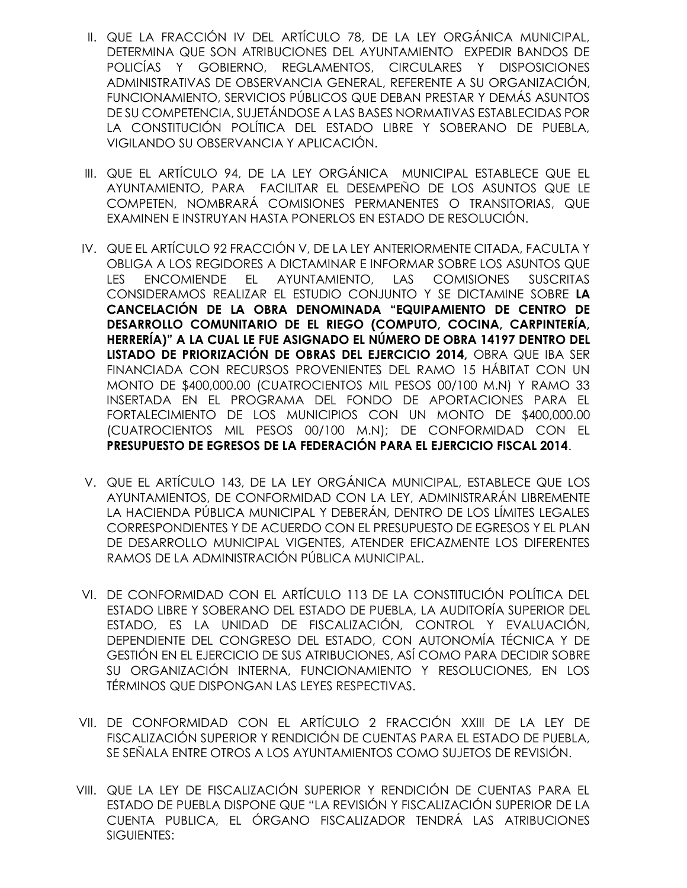- II. QUE LA FRACCIÓN IV DEL ARTÍCULO 78, DE LA LEY ORGÁNICA MUNICIPAL, DETERMINA QUE SON ATRIBUCIONES DEL AYUNTAMIENTO EXPEDIR BANDOS DE POLICÍAS Y GOBIERNO, REGLAMENTOS, CIRCULARES Y DISPOSICIONES ADMINISTRATIVAS DE OBSERVANCIA GENERAL, REFERENTE A SU ORGANIZACIÓN, FUNCIONAMIENTO, SERVICIOS PÚBLICOS QUE DEBAN PRESTAR Y DEMÁS ASUNTOS DE SU COMPETENCIA, SUJETÁNDOSE A LAS BASES NORMATIVAS ESTABLECIDAS POR LA CONSTITUCIÓN POLÍTICA DEL ESTADO LIBRE Y SOBERANO DE PUEBLA, VIGILANDO SU OBSERVANCIA Y APLICACIÓN.
- III. QUE EL ARTÍCULO 94, DE LA LEY ORGÁNICA MUNICIPAL ESTABLECE QUE EL AYUNTAMIENTO, PARA FACILITAR EL DESEMPEÑO DE LOS ASUNTOS QUE LE COMPETEN, NOMBRARÁ COMISIONES PERMANENTES O TRANSITORIAS, QUE EXAMINEN E INSTRUYAN HASTA PONERLOS EN ESTADO DE RESOLUCIÓN.
- IV. QUE EL ARTÍCULO 92 FRACCIÓN V, DE LA LEY ANTERIORMENTE CITADA, FACULTA Y OBLIGA A LOS REGIDORES A DICTAMINAR E INFORMAR SOBRE LOS ASUNTOS QUE LES ENCOMIENDE EL AYUNTAMIENTO, LAS COMISIONES SUSCRITAS CONSIDERAMOS REALIZAR EL ESTUDIO CONJUNTO Y SE DICTAMINE SOBRE **LA CANCELACIÓN DE LA OBRA DENOMINADA "EQUIPAMIENTO DE CENTRO DE DESARROLLO COMUNITARIO DE EL RIEGO (COMPUTO, COCINA, CARPINTERÍA, HERRERÍA)" A LA CUAL LE FUE ASIGNADO EL NÚMERO DE OBRA 14197 DENTRO DEL LISTADO DE PRIORIZACIÓN DE OBRAS DEL EJERCICIO 2014,** OBRA QUE IBA SER FINANCIADA CON RECURSOS PROVENIENTES DEL RAMO 15 HÁBITAT CON UN MONTO DE \$400,000.00 (CUATROCIENTOS MIL PESOS 00/100 M.N) Y RAMO 33 INSERTADA EN EL PROGRAMA DEL FONDO DE APORTACIONES PARA EL FORTALECIMIENTO DE LOS MUNICIPIOS CON UN MONTO DE \$400,000.00 (CUATROCIENTOS MIL PESOS 00/100 M.N); DE CONFORMIDAD CON EL **PRESUPUESTO DE EGRESOS DE LA FEDERACIÓN PARA EL EJERCICIO FISCAL 2014**.
- V. QUE EL ARTÍCULO 143, DE LA LEY ORGÁNICA MUNICIPAL, ESTABLECE QUE LOS AYUNTAMIENTOS, DE CONFORMIDAD CON LA LEY, ADMINISTRARÁN LIBREMENTE LA HACIENDA PÚBLICA MUNICIPAL Y DEBERÁN, DENTRO DE LOS LÍMITES LEGALES CORRESPONDIENTES Y DE ACUERDO CON EL PRESUPUESTO DE EGRESOS Y EL PLAN DE DESARROLLO MUNICIPAL VIGENTES, ATENDER EFICAZMENTE LOS DIFERENTES RAMOS DE LA ADMINISTRACIÓN PÚBLICA MUNICIPAL.
- VI. DE CONFORMIDAD CON EL ARTÍCULO 113 DE LA CONSTITUCIÓN POLÍTICA DEL ESTADO LIBRE Y SOBERANO DEL ESTADO DE PUEBLA, LA AUDITORÍA SUPERIOR DEL ESTADO, ES LA UNIDAD DE FISCALIZACIÓN, CONTROL Y EVALUACIÓN, DEPENDIENTE DEL CONGRESO DEL ESTADO, CON AUTONOMÍA TÉCNICA Y DE GESTIÓN EN EL EJERCICIO DE SUS ATRIBUCIONES, ASÍ COMO PARA DECIDIR SOBRE SU ORGANIZACIÓN INTERNA, FUNCIONAMIENTO Y RESOLUCIONES, EN LOS TÉRMINOS QUE DISPONGAN LAS LEYES RESPECTIVAS.
- VII. DE CONFORMIDAD CON EL ARTÍCULO 2 FRACCIÓN XXIII DE LA LEY DE FISCALIZACIÓN SUPERIOR Y RENDICIÓN DE CUENTAS PARA EL ESTADO DE PUEBLA, SE SEÑALA ENTRE OTROS A LOS AYUNTAMIENTOS COMO SUJETOS DE REVISIÓN.
- VIII. QUE LA LEY DE FISCALIZACIÓN SUPERIOR Y RENDICIÓN DE CUENTAS PARA EL ESTADO DE PUEBLA DISPONE QUE "LA REVISIÓN Y FISCALIZACIÓN SUPERIOR DE LA CUENTA PUBLICA, EL ÓRGANO FISCALIZADOR TENDRÁ LAS ATRIBUCIONES SIGUIENTES: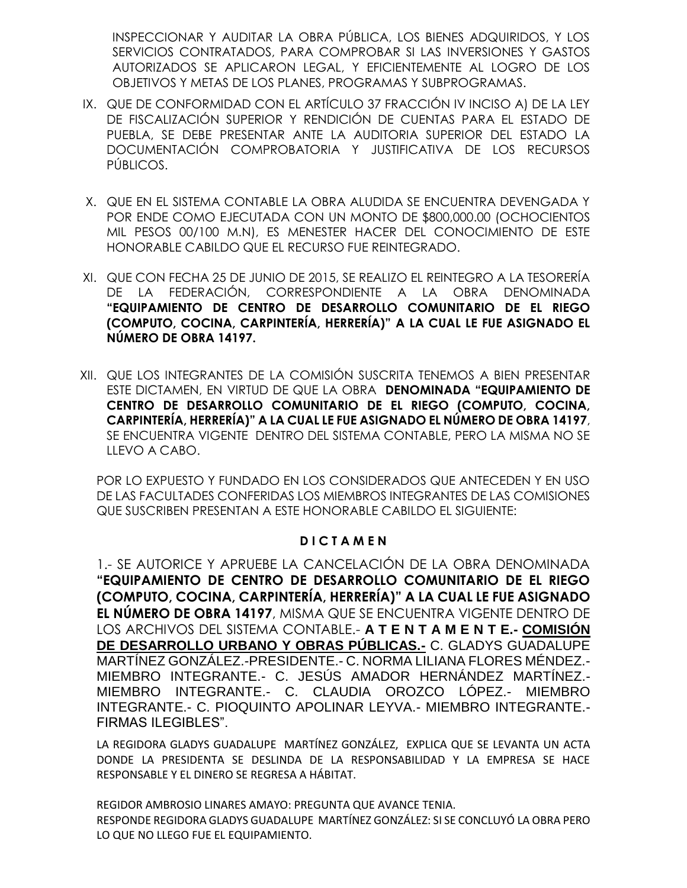INSPECCIONAR Y AUDITAR LA OBRA PÚBLICA, LOS BIENES ADQUIRIDOS, Y LOS SERVICIOS CONTRATADOS, PARA COMPROBAR SI LAS INVERSIONES Y GASTOS AUTORIZADOS SE APLICARON LEGAL, Y EFICIENTEMENTE AL LOGRO DE LOS OBJETIVOS Y METAS DE LOS PLANES, PROGRAMAS Y SUBPROGRAMAS.

- IX. QUE DE CONFORMIDAD CON EL ARTÍCULO 37 FRACCIÓN IV INCISO A) DE LA LEY DE FISCALIZACIÓN SUPERIOR Y RENDICIÓN DE CUENTAS PARA EL ESTADO DE PUEBLA, SE DEBE PRESENTAR ANTE LA AUDITORIA SUPERIOR DEL ESTADO LA DOCUMENTACIÓN COMPROBATORIA Y JUSTIFICATIVA DE LOS RECURSOS PÚBLICOS.
- X. QUE EN EL SISTEMA CONTABLE LA OBRA ALUDIDA SE ENCUENTRA DEVENGADA Y POR ENDE COMO EJECUTADA CON UN MONTO DE \$800,000.00 (OCHOCIENTOS MIL PESOS 00/100 M.N), ES MENESTER HACER DEL CONOCIMIENTO DE ESTE HONORABLE CABILDO QUE EL RECURSO FUE REINTEGRADO.
- XI. QUE CON FECHA 25 DE JUNIO DE 2015, SE REALIZO EL REINTEGRO A LA TESORERÍA DE LA FEDERACIÓN, CORRESPONDIENTE A LA OBRA DENOMINADA **"EQUIPAMIENTO DE CENTRO DE DESARROLLO COMUNITARIO DE EL RIEGO (COMPUTO, COCINA, CARPINTERÍA, HERRERÍA)" A LA CUAL LE FUE ASIGNADO EL NÚMERO DE OBRA 14197.**
- XII. QUE LOS INTEGRANTES DE LA COMISIÓN SUSCRITA TENEMOS A BIEN PRESENTAR ESTE DICTAMEN, EN VIRTUD DE QUE LA OBRA **DENOMINADA "EQUIPAMIENTO DE CENTRO DE DESARROLLO COMUNITARIO DE EL RIEGO (COMPUTO, COCINA, CARPINTERÍA, HERRERÍA)" A LA CUAL LE FUE ASIGNADO EL NÚMERO DE OBRA 14197**, SE ENCUENTRA VIGENTE DENTRO DEL SISTEMA CONTABLE, PERO LA MISMA NO SE LLEVO A CABO.

POR LO EXPUESTO Y FUNDADO EN LOS CONSIDERADOS QUE ANTECEDEN Y EN USO DE LAS FACULTADES CONFERIDAS LOS MIEMBROS INTEGRANTES DE LAS COMISIONES QUE SUSCRIBEN PRESENTAN A ESTE HONORABLE CABILDO EL SIGUIENTE:

### **D I C T A M E N**

1.- SE AUTORICE Y APRUEBE LA CANCELACIÓN DE LA OBRA DENOMINADA **"EQUIPAMIENTO DE CENTRO DE DESARROLLO COMUNITARIO DE EL RIEGO (COMPUTO, COCINA, CARPINTERÍA, HERRERÍA)" A LA CUAL LE FUE ASIGNADO EL NÚMERO DE OBRA 14197**, MISMA QUE SE ENCUENTRA VIGENTE DENTRO DE LOS ARCHIVOS DEL SISTEMA CONTABLE.- **A T E N T A M E N T E.- COMISIÓN DE DESARROLLO URBANO Y OBRAS PÚBLICAS.-** C. GLADYS GUADALUPE MARTÍNEZ GONZÁLEZ.-PRESIDENTE.- C. NORMA LILIANA FLORES MÉNDEZ.- MIEMBRO INTEGRANTE.- C. JESÚS AMADOR HERNÁNDEZ MARTÍNEZ.- MIEMBRO INTEGRANTE.- C. CLAUDIA OROZCO LÓPEZ.- MIEMBRO INTEGRANTE.- C. PIOQUINTO APOLINAR LEYVA.- MIEMBRO INTEGRANTE.- FIRMAS ILEGIBLES".

LA REGIDORA GLADYS GUADALUPE MARTÍNEZ GONZÁLEZ, EXPLICA QUE SE LEVANTA UN ACTA DONDE LA PRESIDENTA SE DESLINDA DE LA RESPONSABILIDAD Y LA EMPRESA SE HACE RESPONSABLE Y EL DINERO SE REGRESA A HÁBITAT.

REGIDOR AMBROSIO LINARES AMAYO: PREGUNTA QUE AVANCE TENIA. RESPONDE REGIDORA GLADYS GUADALUPE MARTÍNEZ GONZÁLEZ: SI SE CONCLUYÓ LA OBRA PERO LO QUE NO LLEGO FUE EL EQUIPAMIENTO.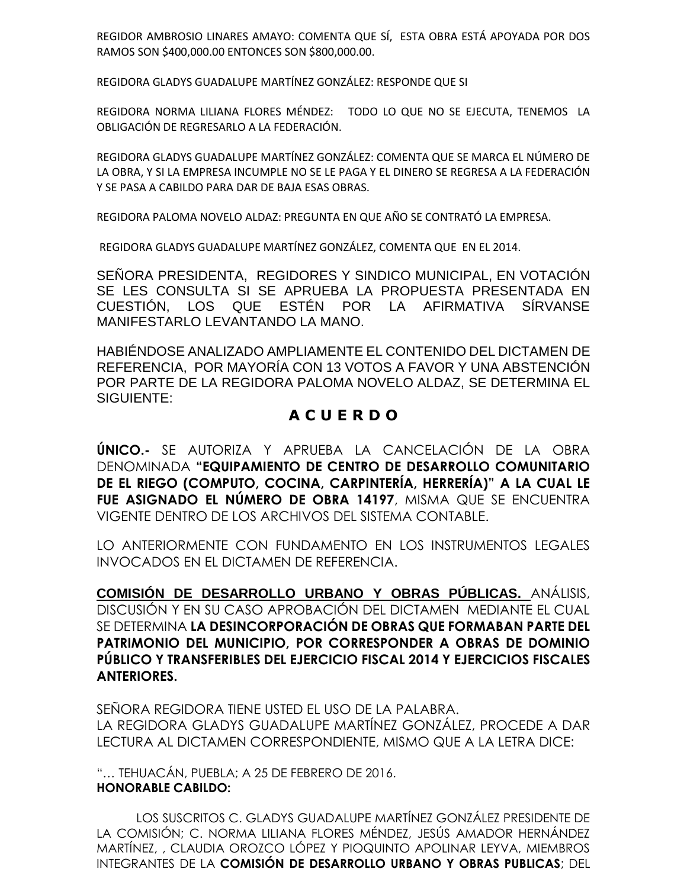REGIDOR AMBROSIO LINARES AMAYO: COMENTA QUE SÍ, ESTA OBRA ESTÁ APOYADA POR DOS RAMOS SON \$400,000.00 ENTONCES SON \$800,000.00.

REGIDORA GLADYS GUADALUPE MARTÍNEZ GONZÁLEZ: RESPONDE QUE SI

REGIDORA NORMA LILIANA FLORES MÉNDEZ: TODO LO QUE NO SE EJECUTA, TENEMOS LA OBLIGACIÓN DE REGRESARLO A LA FEDERACIÓN.

REGIDORA GLADYS GUADALUPE MARTÍNEZ GONZÁLEZ: COMENTA QUE SE MARCA EL NÚMERO DE LA OBRA, Y SI LA EMPRESA INCUMPLE NO SE LE PAGA Y EL DINERO SE REGRESA A LA FEDERACIÓN Y SE PASA A CABILDO PARA DAR DE BAJA ESAS OBRAS.

REGIDORA PALOMA NOVELO ALDAZ: PREGUNTA EN QUE AÑO SE CONTRATÓ LA EMPRESA.

REGIDORA GLADYS GUADALUPE MARTÍNEZ GONZÁLEZ, COMENTA QUE EN EL 2014.

SEÑORA PRESIDENTA, REGIDORES Y SINDICO MUNICIPAL, EN VOTACIÓN SE LES CONSULTA SI SE APRUEBA LA PROPUESTA PRESENTADA EN CUESTIÓN, LOS QUE ESTÉN POR LA AFIRMATIVA SÍRVANSE MANIFESTARLO LEVANTANDO LA MANO.

HABIÉNDOSE ANALIZADO AMPLIAMENTE EL CONTENIDO DEL DICTAMEN DE REFERENCIA, POR MAYORÍA CON 13 VOTOS A FAVOR Y UNA ABSTENCIÓN POR PARTE DE LA REGIDORA PALOMA NOVELO ALDAZ, SE DETERMINA EL SIGUIENTE:

## **A C U E R D O**

**ÚNICO.-** SE AUTORIZA Y APRUEBA LA CANCELACIÓN DE LA OBRA DENOMINADA **"EQUIPAMIENTO DE CENTRO DE DESARROLLO COMUNITARIO DE EL RIEGO (COMPUTO, COCINA, CARPINTERÍA, HERRERÍA)" A LA CUAL LE FUE ASIGNADO EL NÚMERO DE OBRA 14197**, MISMA QUE SE ENCUENTRA VIGENTE DENTRO DE LOS ARCHIVOS DEL SISTEMA CONTABLE.

LO ANTERIORMENTE CON FUNDAMENTO EN LOS INSTRUMENTOS LEGALES INVOCADOS EN EL DICTAMEN DE REFERENCIA.

**COMISIÓN DE DESARROLLO URBANO Y OBRAS PÚBLICAS.** ANÁLISIS, DISCUSIÓN Y EN SU CASO APROBACIÓN DEL DICTAMEN MEDIANTE EL CUAL SE DETERMINA **LA DESINCORPORACIÓN DE OBRAS QUE FORMABAN PARTE DEL PATRIMONIO DEL MUNICIPIO, POR CORRESPONDER A OBRAS DE DOMINIO PÚBLICO Y TRANSFERIBLES DEL EJERCICIO FISCAL 2014 Y EJERCICIOS FISCALES ANTERIORES.**

SEÑORA REGIDORA TIENE USTED EL USO DE LA PALABRA. LA REGIDORA GLADYS GUADALUPE MARTÍNEZ GONZÁLEZ, PROCEDE A DAR LECTURA AL DICTAMEN CORRESPONDIENTE, MISMO QUE A LA LETRA DICE:

"… TEHUACÁN, PUEBLA; A 25 DE FEBRERO DE 2016. **HONORABLE CABILDO:**

LOS SUSCRITOS C. GLADYS GUADALUPE MARTÍNEZ GONZÁLEZ PRESIDENTE DE LA COMISIÓN; C. NORMA LILIANA FLORES MÉNDEZ, JESÚS AMADOR HERNÁNDEZ MARTÍNEZ, , CLAUDIA OROZCO LÓPEZ Y PIOQUINTO APOLINAR LEYVA, MIEMBROS INTEGRANTES DE LA **COMISIÓN DE DESARROLLO URBANO Y OBRAS PUBLICAS**; DEL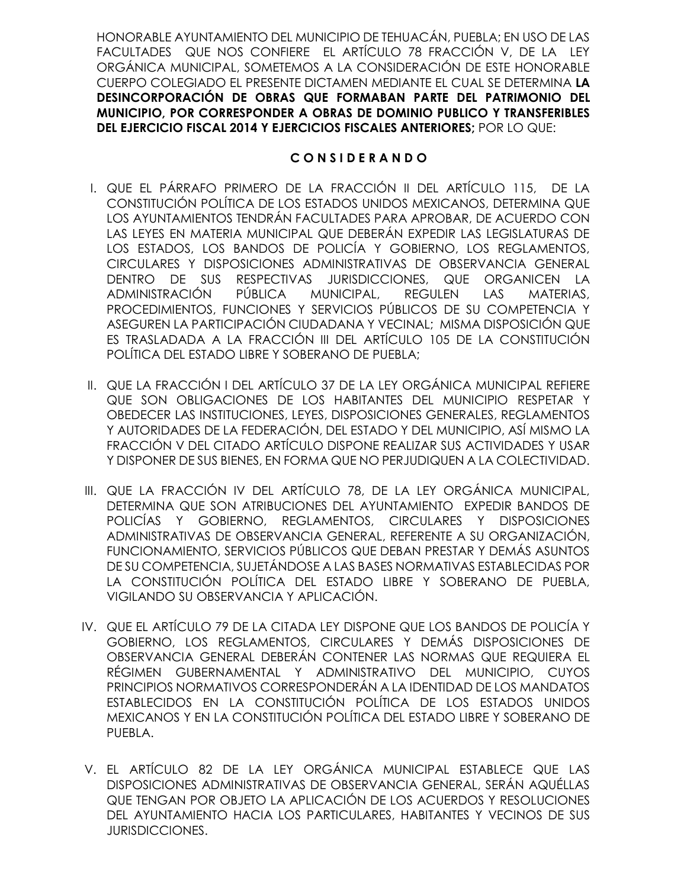HONORABLE AYUNTAMIENTO DEL MUNICIPIO DE TEHUACÁN, PUEBLA; EN USO DE LAS FACULTADES QUE NOS CONFIERE EL ARTÍCULO 78 FRACCIÓN V, DE LA LEY ORGÁNICA MUNICIPAL, SOMETEMOS A LA CONSIDERACIÓN DE ESTE HONORABLE CUERPO COLEGIADO EL PRESENTE DICTAMEN MEDIANTE EL CUAL SE DETERMINA **LA DESINCORPORACIÓN DE OBRAS QUE FORMABAN PARTE DEL PATRIMONIO DEL MUNICIPIO, POR CORRESPONDER A OBRAS DE DOMINIO PUBLICO Y TRANSFERIBLES DEL EJERCICIO FISCAL 2014 Y EJERCICIOS FISCALES ANTERIORES;** POR LO QUE:

### **C O N S I D E R A N D O**

- I. QUE EL PÁRRAFO PRIMERO DE LA FRACCIÓN II DEL ARTÍCULO 115, DE LA CONSTITUCIÓN POLÍTICA DE LOS ESTADOS UNIDOS MEXICANOS, DETERMINA QUE LOS AYUNTAMIENTOS TENDRÁN FACULTADES PARA APROBAR, DE ACUERDO CON LAS LEYES EN MATERIA MUNICIPAL QUE DEBERÁN EXPEDIR LAS LEGISLATURAS DE LOS ESTADOS, LOS BANDOS DE POLICÍA Y GOBIERNO, LOS REGLAMENTOS, CIRCULARES Y DISPOSICIONES ADMINISTRATIVAS DE OBSERVANCIA GENERAL DENTRO DE SUS RESPECTIVAS JURISDICCIONES, QUE ORGANICEN LA ADMINISTRACIÓN PÚBLICA MUNICIPAL, REGULEN LAS MATERIAS, PROCEDIMIENTOS, FUNCIONES Y SERVICIOS PÚBLICOS DE SU COMPETENCIA Y ASEGUREN LA PARTICIPACIÓN CIUDADANA Y VECINAL; MISMA DISPOSICIÓN QUE ES TRASLADADA A LA FRACCIÓN III DEL ARTÍCULO 105 DE LA CONSTITUCIÓN POLÍTICA DEL ESTADO LIBRE Y SOBERANO DE PUEBLA;
- II. QUE LA FRACCIÓN I DEL ARTÍCULO 37 DE LA LEY ORGÁNICA MUNICIPAL REFIERE QUE SON OBLIGACIONES DE LOS HABITANTES DEL MUNICIPIO RESPETAR Y OBEDECER LAS INSTITUCIONES, LEYES, DISPOSICIONES GENERALES, REGLAMENTOS Y AUTORIDADES DE LA FEDERACIÓN, DEL ESTADO Y DEL MUNICIPIO, ASÍ MISMO LA FRACCIÓN V DEL CITADO ARTÍCULO DISPONE REALIZAR SUS ACTIVIDADES Y USAR Y DISPONER DE SUS BIENES, EN FORMA QUE NO PERJUDIQUEN A LA COLECTIVIDAD.
- III. QUE LA FRACCIÓN IV DEL ARTÍCULO 78, DE LA LEY ORGÁNICA MUNICIPAL, DETERMINA QUE SON ATRIBUCIONES DEL AYUNTAMIENTO EXPEDIR BANDOS DE POLICÍAS Y GOBIERNO, REGLAMENTOS, CIRCULARES Y DISPOSICIONES ADMINISTRATIVAS DE OBSERVANCIA GENERAL, REFERENTE A SU ORGANIZACIÓN, FUNCIONAMIENTO, SERVICIOS PÚBLICOS QUE DEBAN PRESTAR Y DEMÁS ASUNTOS DE SU COMPETENCIA, SUJETÁNDOSE A LAS BASES NORMATIVAS ESTABLECIDAS POR LA CONSTITUCIÓN POLÍTICA DEL ESTADO LIBRE Y SOBERANO DE PUEBLA, VIGILANDO SU OBSERVANCIA Y APLICACIÓN.
- IV. QUE EL ARTÍCULO 79 DE LA CITADA LEY DISPONE QUE LOS BANDOS DE POLICÍA Y GOBIERNO, LOS REGLAMENTOS, CIRCULARES Y DEMÁS DISPOSICIONES DE OBSERVANCIA GENERAL DEBERÁN CONTENER LAS NORMAS QUE REQUIERA EL RÉGIMEN GUBERNAMENTAL Y ADMINISTRATIVO DEL MUNICIPIO, CUYOS PRINCIPIOS NORMATIVOS CORRESPONDERÁN A LA IDENTIDAD DE LOS MANDATOS ESTABLECIDOS EN LA CONSTITUCIÓN POLÍTICA DE LOS ESTADOS UNIDOS MEXICANOS Y EN LA CONSTITUCIÓN POLÍTICA DEL ESTADO LIBRE Y SOBERANO DE PUEBLA.
- V. EL ARTÍCULO 82 DE LA LEY ORGÁNICA MUNICIPAL ESTABLECE QUE LAS DISPOSICIONES ADMINISTRATIVAS DE OBSERVANCIA GENERAL, SERÁN AQUÉLLAS QUE TENGAN POR OBJETO LA APLICACIÓN DE LOS ACUERDOS Y RESOLUCIONES DEL AYUNTAMIENTO HACIA LOS PARTICULARES, HABITANTES Y VECINOS DE SUS JURISDICCIONES.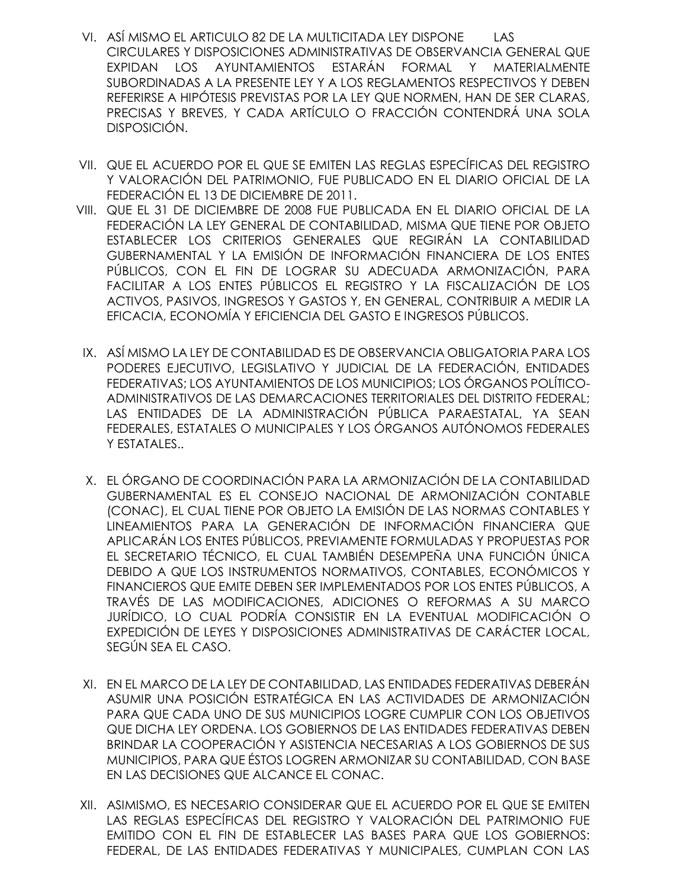- VI. ASÍ MISMO EL ARTICULO 82 DE LA MULTICITADA LEY DISPONE LAS CIRCULARES Y DISPOSICIONES ADMINISTRATIVAS DE OBSERVANCIA GENERAL QUE EXPIDAN LOS AYUNTAMIENTOS ESTARÁN FORMAL Y MATERIALMENTE SUBORDINADAS A LA PRESENTE LEY Y A LOS REGLAMENTOS RESPECTIVOS Y DEBEN REFERIRSE A HIPÓTESIS PREVISTAS POR LA LEY QUE NORMEN, HAN DE SER CLARAS, PRECISAS Y BREVES, Y CADA ARTÍCULO O FRACCIÓN CONTENDRÁ UNA SOLA DISPOSICIÓN.
- VII. QUE EL ACUERDO POR EL QUE SE EMITEN LAS REGLAS ESPECÍFICAS DEL REGISTRO Y VALORACIÓN DEL PATRIMONIO, FUE PUBLICADO EN EL DIARIO OFICIAL DE LA FEDERACIÓN EL 13 DE DICIEMBRE DE 2011.
- VIII. QUE EL 31 DE DICIEMBRE DE 2008 FUE PUBLICADA EN EL DIARIO OFICIAL DE LA FEDERACIÓN LA LEY GENERAL DE CONTABILIDAD, MISMA QUE TIENE POR OBJETO ESTABLECER LOS CRITERIOS GENERALES QUE REGIRÁN LA CONTABILIDAD GUBERNAMENTAL Y LA EMISIÓN DE INFORMACIÓN FINANCIERA DE LOS ENTES PÚBLICOS, CON EL FIN DE LOGRAR SU ADECUADA ARMONIZACIÓN, PARA FACILITAR A LOS ENTES PÚBLICOS EL REGISTRO Y LA FISCALIZACIÓN DE LOS ACTIVOS, PASIVOS, INGRESOS Y GASTOS Y, EN GENERAL, CONTRIBUIR A MEDIR LA EFICACIA, ECONOMÍA Y EFICIENCIA DEL GASTO E INGRESOS PÚBLICOS.
- IX. ASÍ MISMO LA LEY DE CONTABILIDAD ES DE OBSERVANCIA OBLIGATORIA PARA LOS PODERES EJECUTIVO, LEGISLATIVO Y JUDICIAL DE LA FEDERACIÓN, ENTIDADES FEDERATIVAS; LOS AYUNTAMIENTOS DE LOS MUNICIPIOS; LOS ÓRGANOS POLÍTICO-ADMINISTRATIVOS DE LAS DEMARCACIONES TERRITORIALES DEL DISTRITO FEDERAL; LAS ENTIDADES DE LA ADMINISTRACIÓN PÚBLICA PARAESTATAL, YA SEAN FEDERALES, ESTATALES O MUNICIPALES Y LOS ÓRGANOS AUTÓNOMOS FEDERALES Y ESTATALES..
- X. EL ÓRGANO DE COORDINACIÓN PARA LA ARMONIZACIÓN DE LA CONTABILIDAD GUBERNAMENTAL ES EL CONSEJO NACIONAL DE ARMONIZACIÓN CONTABLE (CONAC), EL CUAL TIENE POR OBJETO LA EMISIÓN DE LAS NORMAS CONTABLES Y LINEAMIENTOS PARA LA GENERACIÓN DE INFORMACIÓN FINANCIERA QUE APLICARÁN LOS ENTES PÚBLICOS, PREVIAMENTE FORMULADAS Y PROPUESTAS POR EL SECRETARIO TÉCNICO, EL CUAL TAMBIÉN DESEMPEÑA UNA FUNCIÓN ÚNICA DEBIDO A QUE LOS INSTRUMENTOS NORMATIVOS, CONTABLES, ECONÓMICOS Y FINANCIEROS QUE EMITE DEBEN SER IMPLEMENTADOS POR LOS ENTES PÚBLICOS, A TRAVÉS DE LAS MODIFICACIONES, ADICIONES O REFORMAS A SU MARCO JURÍDICO, LO CUAL PODRÍA CONSISTIR EN LA EVENTUAL MODIFICACIÓN O EXPEDICIÓN DE LEYES Y DISPOSICIONES ADMINISTRATIVAS DE CARÁCTER LOCAL, SEGÚN SEA EL CASO.
- XI. EN EL MARCO DE LA LEY DE CONTABILIDAD, LAS ENTIDADES FEDERATIVAS DEBERÁN ASUMIR UNA POSICIÓN ESTRATÉGICA EN LAS ACTIVIDADES DE ARMONIZACIÓN PARA QUE CADA UNO DE SUS MUNICIPIOS LOGRE CUMPLIR CON LOS OBJETIVOS QUE DICHA LEY ORDENA. LOS GOBIERNOS DE LAS ENTIDADES FEDERATIVAS DEBEN BRINDAR LA COOPERACIÓN Y ASISTENCIA NECESARIAS A LOS GOBIERNOS DE SUS MUNICIPIOS, PARA QUE ÉSTOS LOGREN ARMONIZAR SU CONTABILIDAD, CON BASE EN LAS DECISIONES QUE ALCANCE EL CONAC.
- XII. ASIMISMO, ES NECESARIO CONSIDERAR QUE EL ACUERDO POR EL QUE SE EMITEN LAS REGLAS ESPECÍFICAS DEL REGISTRO Y VALORACIÓN DEL PATRIMONIO FUE EMITIDO CON EL FIN DE ESTABLECER LAS BASES PARA QUE LOS GOBIERNOS: FEDERAL, DE LAS ENTIDADES FEDERATIVAS Y MUNICIPALES, CUMPLAN CON LAS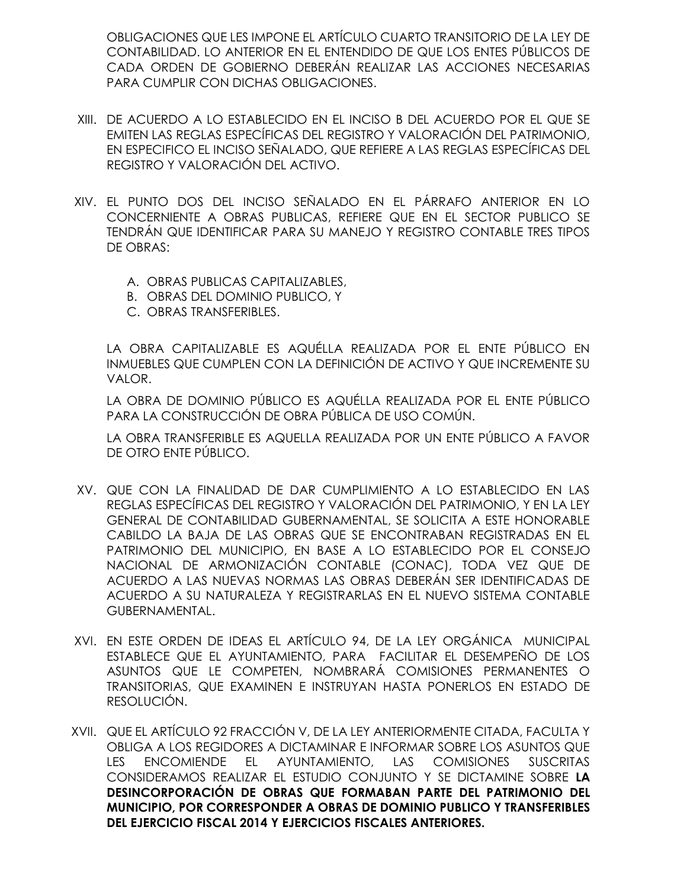OBLIGACIONES QUE LES IMPONE EL ARTÍCULO CUARTO TRANSITORIO DE LA LEY DE CONTABILIDAD. LO ANTERIOR EN EL ENTENDIDO DE QUE LOS ENTES PÚBLICOS DE CADA ORDEN DE GOBIERNO DEBERÁN REALIZAR LAS ACCIONES NECESARIAS PARA CUMPLIR CON DICHAS OBLIGACIONES.

- XIII. DE ACUERDO A LO ESTABLECIDO EN EL INCISO B DEL ACUERDO POR EL QUE SE EMITEN LAS REGLAS ESPECÍFICAS DEL REGISTRO Y VALORACIÓN DEL PATRIMONIO, EN ESPECIFICO EL INCISO SEÑALADO, QUE REFIERE A LAS REGLAS ESPECÍFICAS DEL REGISTRO Y VALORACIÓN DEL ACTIVO.
- XIV. EL PUNTO DOS DEL INCISO SEÑALADO EN EL PÁRRAFO ANTERIOR EN LO CONCERNIENTE A OBRAS PUBLICAS, REFIERE QUE EN EL SECTOR PUBLICO SE TENDRÁN QUE IDENTIFICAR PARA SU MANEJO Y REGISTRO CONTABLE TRES TIPOS DE OBRAS:
	- A. OBRAS PUBLICAS CAPITALIZABLES,
	- B. OBRAS DEL DOMINIO PUBLICO, Y
	- C. OBRAS TRANSFERIBLES.

LA OBRA CAPITALIZABLE ES AQUÉLLA REALIZADA POR EL ENTE PÚBLICO EN INMUEBLES QUE CUMPLEN CON LA DEFINICIÓN DE ACTIVO Y QUE INCREMENTE SU VALOR.

LA OBRA DE DOMINIO PÚBLICO ES AQUÉLLA REALIZADA POR EL ENTE PÚBLICO PARA LA CONSTRUCCIÓN DE OBRA PÚBLICA DE USO COMÚN.

LA OBRA TRANSFERIBLE ES AQUELLA REALIZADA POR UN ENTE PÚBLICO A FAVOR DE OTRO ENTE PÚBLICO.

- XV. QUE CON LA FINALIDAD DE DAR CUMPLIMIENTO A LO ESTABLECIDO EN LAS REGLAS ESPECÍFICAS DEL REGISTRO Y VALORACIÓN DEL PATRIMONIO, Y EN LA LEY GENERAL DE CONTABILIDAD GUBERNAMENTAL, SE SOLICITA A ESTE HONORABLE CABILDO LA BAJA DE LAS OBRAS QUE SE ENCONTRABAN REGISTRADAS EN EL PATRIMONIO DEL MUNICIPIO, EN BASE A LO ESTABLECIDO POR EL CONSEJO NACIONAL DE ARMONIZACIÓN CONTABLE (CONAC), TODA VEZ QUE DE ACUERDO A LAS NUEVAS NORMAS LAS OBRAS DEBERÁN SER IDENTIFICADAS DE ACUERDO A SU NATURALEZA Y REGISTRARLAS EN EL NUEVO SISTEMA CONTABLE GUBERNAMENTAL.
- XVI. EN ESTE ORDEN DE IDEAS EL ARTÍCULO 94, DE LA LEY ORGÁNICA MUNICIPAL ESTABLECE QUE EL AYUNTAMIENTO, PARA FACILITAR EL DESEMPEÑO DE LOS ASUNTOS QUE LE COMPETEN, NOMBRARÁ COMISIONES PERMANENTES O TRANSITORIAS, QUE EXAMINEN E INSTRUYAN HASTA PONERLOS EN ESTADO DE RESOLUCIÓN.
- XVII. QUE EL ARTÍCULO 92 FRACCIÓN V, DE LA LEY ANTERIORMENTE CITADA, FACULTA Y OBLIGA A LOS REGIDORES A DICTAMINAR E INFORMAR SOBRE LOS ASUNTOS QUE LES ENCOMIENDE EL AYUNTAMIENTO, LAS COMISIONES SUSCRITAS CONSIDERAMOS REALIZAR EL ESTUDIO CONJUNTO Y SE DICTAMINE SOBRE **LA DESINCORPORACIÓN DE OBRAS QUE FORMABAN PARTE DEL PATRIMONIO DEL MUNICIPIO, POR CORRESPONDER A OBRAS DE DOMINIO PUBLICO Y TRANSFERIBLES DEL EJERCICIO FISCAL 2014 Y EJERCICIOS FISCALES ANTERIORES.**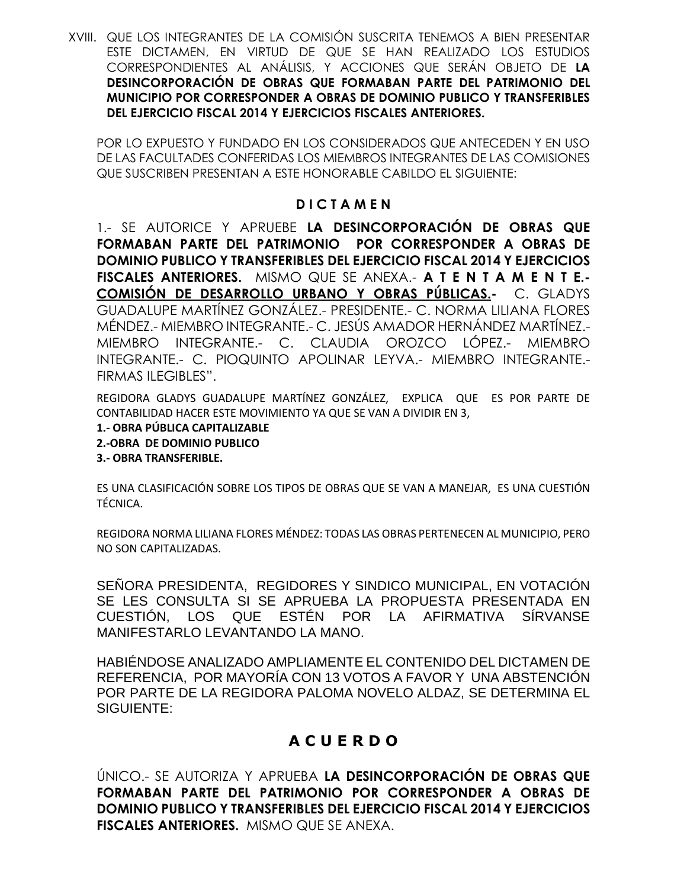XVIII. QUE LOS INTEGRANTES DE LA COMISIÓN SUSCRITA TENEMOS A BIEN PRESENTAR ESTE DICTAMEN, EN VIRTUD DE QUE SE HAN REALIZADO LOS ESTUDIOS CORRESPONDIENTES AL ANÁLISIS, Y ACCIONES QUE SERÁN OBJETO DE **LA DESINCORPORACIÓN DE OBRAS QUE FORMABAN PARTE DEL PATRIMONIO DEL MUNICIPIO POR CORRESPONDER A OBRAS DE DOMINIO PUBLICO Y TRANSFERIBLES DEL EJERCICIO FISCAL 2014 Y EJERCICIOS FISCALES ANTERIORES.**

POR LO EXPUESTO Y FUNDADO EN LOS CONSIDERADOS QUE ANTECEDEN Y EN USO DE LAS FACULTADES CONFERIDAS LOS MIEMBROS INTEGRANTES DE LAS COMISIONES QUE SUSCRIBEN PRESENTAN A ESTE HONORABLE CABILDO EL SIGUIENTE:

### **D I C T A M E N**

1.- SE AUTORICE Y APRUEBE **LA DESINCORPORACIÓN DE OBRAS QUE FORMABAN PARTE DEL PATRIMONIO POR CORRESPONDER A OBRAS DE DOMINIO PUBLICO Y TRANSFERIBLES DEL EJERCICIO FISCAL 2014 Y EJERCICIOS FISCALES ANTERIORES.** MISMO QUE SE ANEXA.- **A T E N T A M E N T E.- COMISIÓN DE DESARROLLO URBANO Y OBRAS PÚBLICAS.-** C. GLADYS GUADALUPE MARTÍNEZ GONZÁLEZ.- PRESIDENTE.- C. NORMA LILIANA FLORES MÉNDEZ.- MIEMBRO INTEGRANTE.- C. JESÚS AMADOR HERNÁNDEZ MARTÍNEZ.- MIEMBRO INTEGRANTE.- C. CLAUDIA OROZCO LÓPEZ.- MIEMBRO INTEGRANTE.- C. PIOQUINTO APOLINAR LEYVA.- MIEMBRO INTEGRANTE.- FIRMAS ILEGIBLES".

REGIDORA GLADYS GUADALUPE MARTÍNEZ GONZÁLEZ, EXPLICA QUE ES POR PARTE DE CONTABILIDAD HACER ESTE MOVIMIENTO YA QUE SE VAN A DIVIDIR EN 3,

- **1.- OBRA PÚBLICA CAPITALIZABLE**
- **2.-OBRA DE DOMINIO PUBLICO**
- **3.- OBRA TRANSFERIBLE.**

ES UNA CLASIFICACIÓN SOBRE LOS TIPOS DE OBRAS QUE SE VAN A MANEJAR, ES UNA CUESTIÓN TÉCNICA.

REGIDORA NORMA LILIANA FLORES MÉNDEZ: TODAS LAS OBRAS PERTENECEN AL MUNICIPIO, PERO NO SON CAPITALIZADAS.

SEÑORA PRESIDENTA, REGIDORES Y SINDICO MUNICIPAL, EN VOTACIÓN SE LES CONSULTA SI SE APRUEBA LA PROPUESTA PRESENTADA EN CUESTIÓN, LOS QUE ESTÉN POR LA AFIRMATIVA SÍRVANSE MANIFESTARLO LEVANTANDO LA MANO.

HABIÉNDOSE ANALIZADO AMPLIAMENTE EL CONTENIDO DEL DICTAMEN DE REFERENCIA, POR MAYORÍA CON 13 VOTOS A FAVOR Y UNA ABSTENCIÓN POR PARTE DE LA REGIDORA PALOMA NOVELO ALDAZ, SE DETERMINA EL SIGUIENTE:

# **A C U E R D O**

ÚNICO.- SE AUTORIZA Y APRUEBA **LA DESINCORPORACIÓN DE OBRAS QUE FORMABAN PARTE DEL PATRIMONIO POR CORRESPONDER A OBRAS DE DOMINIO PUBLICO Y TRANSFERIBLES DEL EJERCICIO FISCAL 2014 Y EJERCICIOS FISCALES ANTERIORES.** MISMO QUE SE ANEXA.